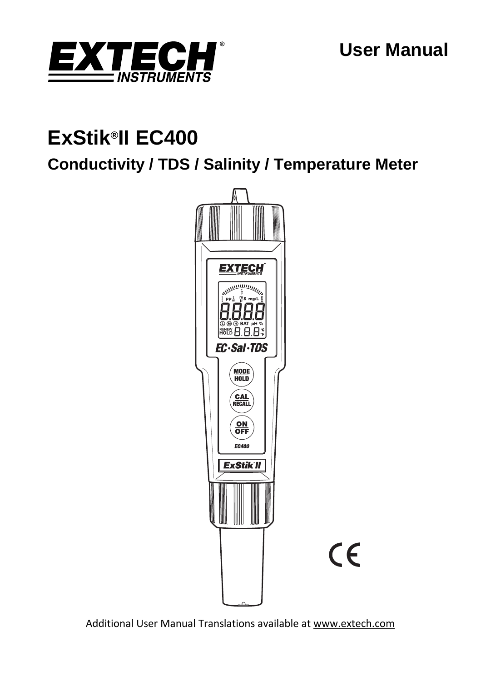

# **ExStik®II EC400**

**Conductivity / TDS / Salinity / Temperature Meter** 



Additional User Manual Translations available at www.extech.com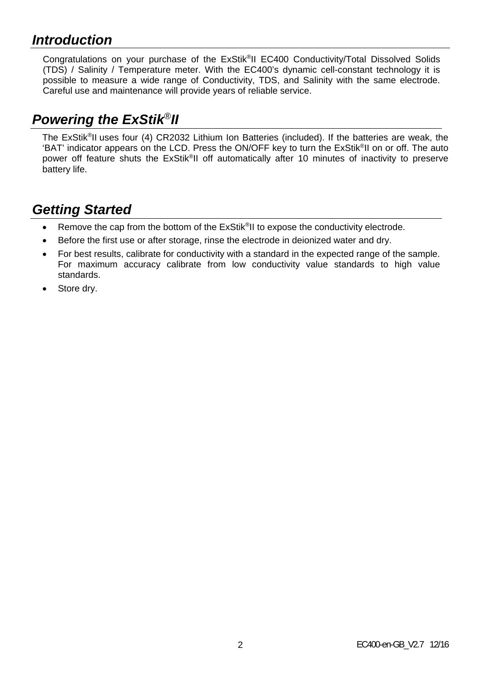### *Introduction*

Congratulations on your purchase of the ExStik®II EC400 Conductivity/Total Dissolved Solids (TDS) / Salinity / Temperature meter. With the EC400's dynamic cell-constant technology it is possible to measure a wide range of Conductivity, TDS, and Salinity with the same electrode. Careful use and maintenance will provide years of reliable service.

# *Powering the ExStik*®*II*

The ExStik®II uses four (4) CR2032 Lithium Ion Batteries (included). If the batteries are weak, the 'BAT' indicator appears on the LCD. Press the ON/OFF key to turn the ExStik®II on or off. The auto power off feature shuts the ExStik®II off automatically after 10 minutes of inactivity to preserve battery life.

# *Getting Started*

- Remove the cap from the bottom of the ExStik®II to expose the conductivity electrode.
- Before the first use or after storage, rinse the electrode in deionized water and dry.
- For best results, calibrate for conductivity with a standard in the expected range of the sample. For maximum accuracy calibrate from low conductivity value standards to high value standards.
- Store drv.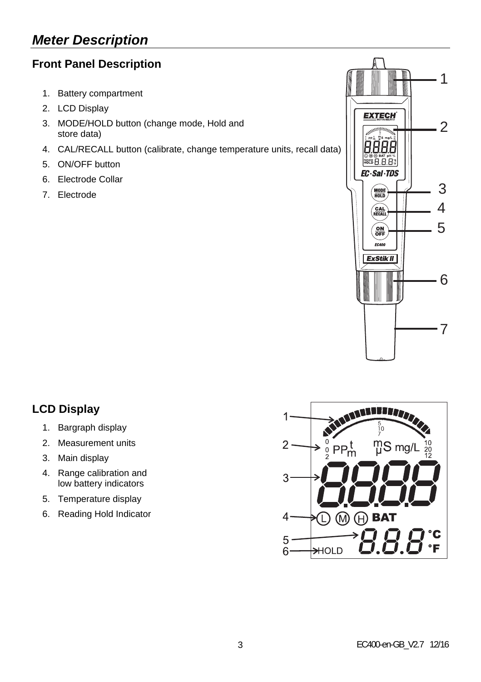# *Meter Description*

### **Front Panel Description**

- 1. Battery compartment
- 2. LCD Display
- 3. MODE/HOLD button (change mode, Hold and store data)
- 4. CAL/RECALL button (calibrate, change temperature units, recall data)
- 5. ON/OFF button
- 6. Electrode Collar
- 7. Electrode



### **LCD Display**

- 1. Bargraph display
- 2. Measurement units
- 3. Main display
- 4. Range calibration and low battery indicators
- 5. Temperature display
- 6. Reading Hold Indicator

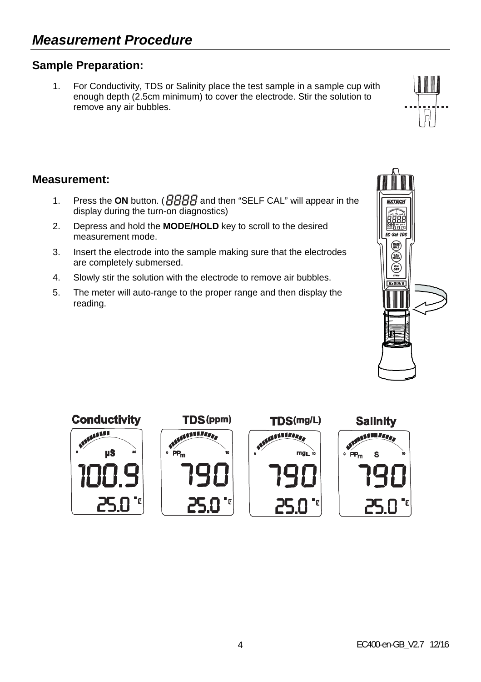### **Sample Preparation:**

1. For Conductivity, TDS or Salinity place the test sample in a sample cup with enough depth (2.5cm minimum) to cover the electrode. Stir the solution to remove any air bubbles.

#### **Measurement:**

- 1. Press the **ON** button. (*BBBB* and then "SELF CAL" will appear in the display during the turn-on diagnostics)
- 2. Depress and hold the **MODE/HOLD** key to scroll to the desired measurement mode.
- 3. Insert the electrode into the sample making sure that the electrodes are completely submersed.
- 4. Slowly stir the solution with the electrode to remove air bubbles.
- 5. The meter will auto-range to the proper range and then display the reading.





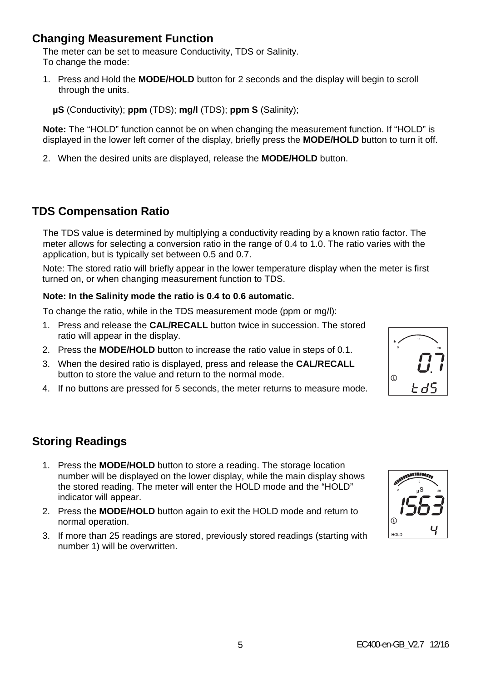#### **Changing Measurement Function**

The meter can be set to measure Conductivity, TDS or Salinity. To change the mode:

- 1. Press and Hold the **MODE/HOLD** button for 2 seconds and the display will begin to scroll through the units.
	- **µS** (Conductivity); **ppm** (TDS); **mg/l** (TDS); **ppm S** (Salinity);

**Note:** The "HOLD" function cannot be on when changing the measurement function. If "HOLD" is displayed in the lower left corner of the display, briefly press the **MODE/HOLD** button to turn it off.

2. When the desired units are displayed, release the **MODE/HOLD** button.

### **TDS Compensation Ratio**

The TDS value is determined by multiplying a conductivity reading by a known ratio factor. The meter allows for selecting a conversion ratio in the range of 0.4 to 1.0. The ratio varies with the application, but is typically set between 0.5 and 0.7.

Note: The stored ratio will briefly appear in the lower temperature display when the meter is first turned on, or when changing measurement function to TDS.

#### **Note: In the Salinity mode the ratio is 0.4 to 0.6 automatic.**

To change the ratio, while in the TDS measurement mode (ppm or mg/l):

- 1. Press and release the **CAL/RECALL** button twice in succession. The stored ratio will appear in the display.
- 2. Press the **MODE/HOLD** button to increase the ratio value in steps of 0.1.
- 3. When the desired ratio is displayed, press and release the **CAL/RECALL** button to store the value and return to the normal mode.
- 4. If no buttons are pressed for 5 seconds, the meter returns to measure mode.

#### **Storing Readings**

- 1. Press the **MODE/HOLD** button to store a reading. The storage location number will be displayed on the lower display, while the main display shows the stored reading. The meter will enter the HOLD mode and the "HOLD" indicator will appear.
- 2. Press the **MODE/HOLD** button again to exit the HOLD mode and return to normal operation.
- 3. If more than 25 readings are stored, previously stored readings (starting with number 1) will be overwritten.



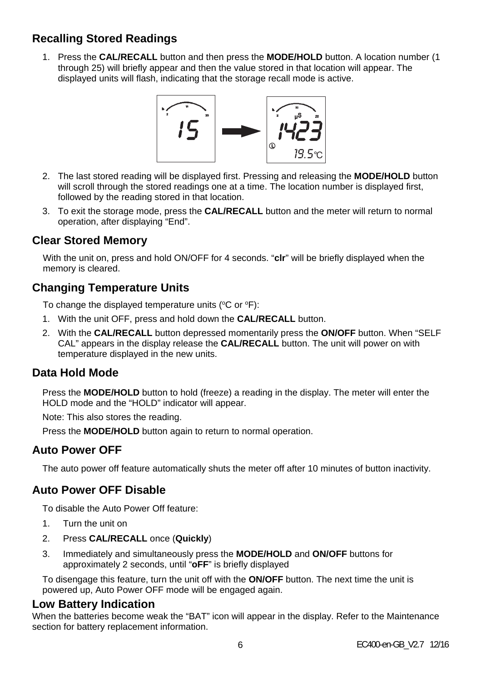### **Recalling Stored Readings**

1. Press the **CAL/RECALL** button and then press the **MODE/HOLD** button. A location number (1 through 25) will briefly appear and then the value stored in that location will appear. The displayed units will flash, indicating that the storage recall mode is active.



- 2. The last stored reading will be displayed first. Pressing and releasing the **MODE/HOLD** button will scroll through the stored readings one at a time. The location number is displayed first, followed by the reading stored in that location.
- 3. To exit the storage mode, press the **CAL/RECALL** button and the meter will return to normal operation, after displaying "End".

#### **Clear Stored Memory**

With the unit on, press and hold ON/OFF for 4 seconds. "**clr**" will be briefly displayed when the memory is cleared.

### **Changing Temperature Units**

To change the displayed temperature units ( $\rm{°C}$  or  $\rm{°F}$ ):

- 1. With the unit OFF, press and hold down the **CAL/RECALL** button.
- 2. With the **CAL/RECALL** button depressed momentarily press the **ON/OFF** button. When "SELF CAL" appears in the display release the **CAL/RECALL** button. The unit will power on with temperature displayed in the new units.

#### **Data Hold Mode**

Press the **MODE/HOLD** button to hold (freeze) a reading in the display. The meter will enter the HOLD mode and the "HOLD" indicator will appear.

Note: This also stores the reading.

Press the **MODE/HOLD** button again to return to normal operation.

#### **Auto Power OFF**

The auto power off feature automatically shuts the meter off after 10 minutes of button inactivity.

#### **Auto Power OFF Disable**

To disable the Auto Power Off feature:

- 1. Turn the unit on
- 2. Press **CAL/RECALL** once (**Quickly**)
- 3. Immediately and simultaneously press the **MODE/HOLD** and **ON/OFF** buttons for approximately 2 seconds, until "**oFF**" is briefly displayed

To disengage this feature, turn the unit off with the **ON/OFF** button. The next time the unit is powered up, Auto Power OFF mode will be engaged again.

#### **Low Battery Indication**

When the batteries become weak the "BAT" icon will appear in the display. Refer to the Maintenance section for battery replacement information.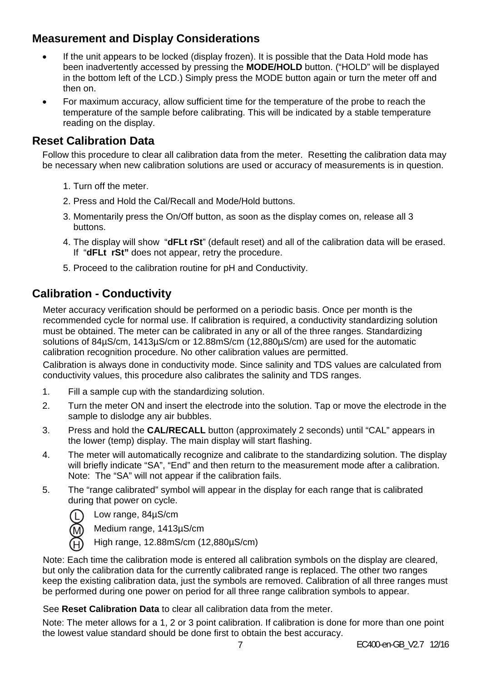### **Measurement and Display Considerations**

- If the unit appears to be locked (display frozen). It is possible that the Data Hold mode has been inadvertently accessed by pressing the **MODE/HOLD** button. ("HOLD" will be displayed in the bottom left of the LCD.) Simply press the MODE button again or turn the meter off and then on.
- For maximum accuracy, allow sufficient time for the temperature of the probe to reach the temperature of the sample before calibrating. This will be indicated by a stable temperature reading on the display.

#### **Reset Calibration Data**

Follow this procedure to clear all calibration data from the meter. Resetting the calibration data may be necessary when new calibration solutions are used or accuracy of measurements is in question.

- 1. Turn off the meter.
- 2. Press and Hold the Cal/Recall and Mode/Hold buttons.
- 3. Momentarily press the On/Off button, as soon as the display comes on, release all 3 buttons.
- 4. The display will show "**dFLt rSt**" (default reset) and all of the calibration data will be erased. If "**dFLt rSt"** does not appear, retry the procedure.
- 5. Proceed to the calibration routine for pH and Conductivity.

#### **Calibration - Conductivity**

Meter accuracy verification should be performed on a periodic basis. Once per month is the recommended cycle for normal use. If calibration is required, a conductivity standardizing solution must be obtained. The meter can be calibrated in any or all of the three ranges. Standardizing solutions of 84µS/cm, 1413µS/cm or 12.88mS/cm (12,880µS/cm) are used for the automatic calibration recognition procedure. No other calibration values are permitted.

Calibration is always done in conductivity mode. Since salinity and TDS values are calculated from conductivity values, this procedure also calibrates the salinity and TDS ranges.

- 1. Fill a sample cup with the standardizing solution.
- 2. Turn the meter ON and insert the electrode into the solution. Tap or move the electrode in the sample to dislodge any air bubbles.
- 3. Press and hold the **CAL/RECALL** button (approximately 2 seconds) until "CAL" appears in the lower (temp) display. The main display will start flashing.
- 4. The meter will automatically recognize and calibrate to the standardizing solution. The display will briefly indicate "SA", "End" and then return to the measurement mode after a calibration. Note: The "SA" will not appear if the calibration fails.
- 5. The "range calibrated" symbol will appear in the display for each range that is calibrated during that power on cycle.

Low range, 84µS/cm



Medium range, 1413µS/cm

High range, 12.88mS/cm (12,880µS/cm)

Note: Each time the calibration mode is entered all calibration symbols on the display are cleared, but only the calibration data for the currently calibrated range is replaced. The other two ranges keep the existing calibration data, just the symbols are removed. Calibration of all three ranges must be performed during one power on period for all three range calibration symbols to appear.

#### See **Reset Calibration Data** to clear all calibration data from the meter.

Note: The meter allows for a 1, 2 or 3 point calibration. If calibration is done for more than one point the lowest value standard should be done first to obtain the best accuracy.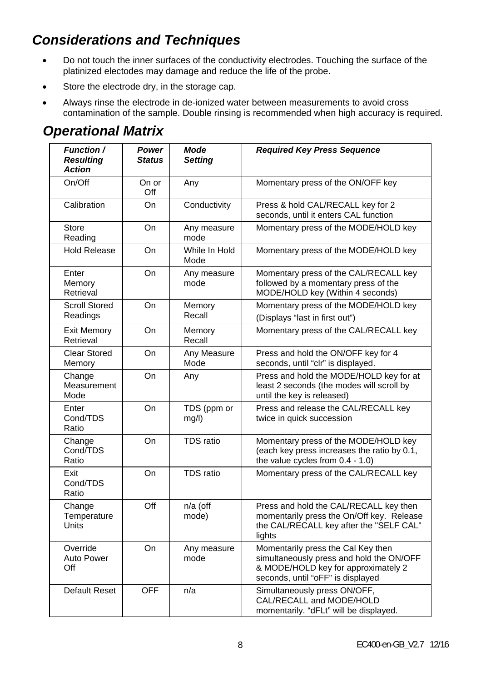# *Considerations and Techniques*

- Do not touch the inner surfaces of the conductivity electrodes. Touching the surface of the platinized electodes may damage and reduce the life of the probe.
- Store the electrode dry, in the storage cap.
- Always rinse the electrode in de-ionized water between measurements to avoid cross contamination of the sample. Double rinsing is recommended when high accuracy is required.

## *Operational Matrix*

| Function /<br><b>Resulting</b><br>Action | Power<br><b>Status</b> | Mode<br><b>Setting</b> | <b>Required Key Press Sequence</b>                                                                                                                         |
|------------------------------------------|------------------------|------------------------|------------------------------------------------------------------------------------------------------------------------------------------------------------|
| On/Off                                   | On or<br>Off           | Any                    | Momentary press of the ON/OFF key                                                                                                                          |
| Calibration                              | On                     | Conductivity           | Press & hold CAL/RECALL key for 2<br>seconds, until it enters CAL function                                                                                 |
| Store<br>Reading                         | On                     | Any measure<br>mode    | Momentary press of the MODE/HOLD key                                                                                                                       |
| <b>Hold Release</b>                      | On                     | While In Hold<br>Mode  | Momentary press of the MODE/HOLD key                                                                                                                       |
| Enter<br>Memory<br>Retrieval             | On                     | Any measure<br>mode    | Momentary press of the CAL/RECALL key<br>followed by a momentary press of the<br>MODE/HOLD key (Within 4 seconds)                                          |
| <b>Scroll Stored</b><br>Readings         | On                     | Memory<br>Recall       | Momentary press of the MODE/HOLD key<br>(Displays "last in first out")                                                                                     |
| <b>Exit Memory</b><br>Retrieval          | On                     | Memory<br>Recall       | Momentary press of the CAL/RECALL key                                                                                                                      |
| <b>Clear Stored</b><br>Memory            | On                     | Any Measure<br>Mode    | Press and hold the ON/OFF key for 4<br>seconds, until "clr" is displayed.                                                                                  |
| Change<br>Measurement<br>Mode            | On                     | Any                    | Press and hold the MODE/HOLD key for at<br>least 2 seconds (the modes will scroll by<br>until the key is released)                                         |
| Enter<br>Cond/TDS<br>Ratio               | On                     | TDS (ppm or<br>mg/l)   | Press and release the CAL/RECALL key<br>twice in quick succession                                                                                          |
| Change<br>Cond/TDS<br>Ratio              | On                     | TDS ratio              | Momentary press of the MODE/HOLD key<br>(each key press increases the ratio by 0.1,<br>the value cycles from $0.4 - 1.0$ )                                 |
| Exit<br>Cond/TDS<br>Ratio                | On                     | TDS ratio              | Momentary press of the CAL/RECALL key                                                                                                                      |
| Change<br>Temperature<br><b>Units</b>    | Off                    | $n/a$ (off<br>mode)    | Press and hold the CAL/RECALL key then<br>momentarily press the On/Off key. Release<br>the CAL/RECALL key after the "SELF CAL"<br>lights                   |
| Override<br>Auto Power<br>Off            | On                     | Any measure<br>mode    | Momentarily press the Cal Key then<br>simultaneously press and hold the ON/OFF<br>& MODE/HOLD key for approximately 2<br>seconds, until "oFF" is displayed |
| Default Reset                            | OFF                    | n/a                    | Simultaneously press ON/OFF,<br>CAL/RECALL and MODE/HOLD<br>momentarily. "dFLt" will be displayed.                                                         |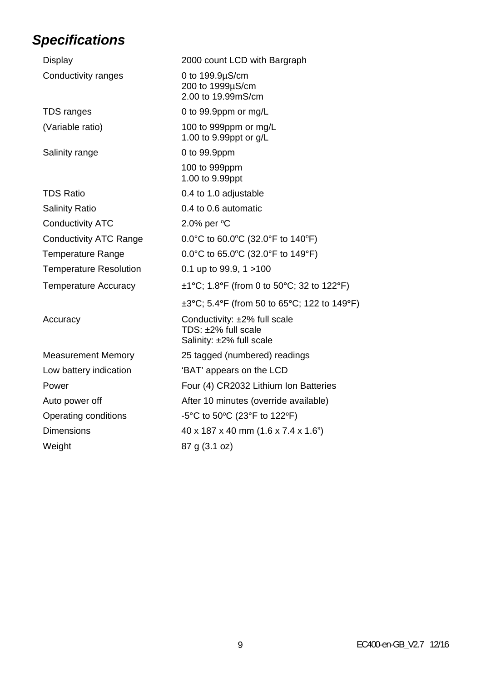# *Specifications*

| Display                       | 2000 count LCD with Bargraph                                                          |  |  |
|-------------------------------|---------------------------------------------------------------------------------------|--|--|
| Conductivity ranges           | 0 to $199.9\mu$ S/cm<br>200 to 1999µS/cm<br>2.00 to 19.99mS/cm                        |  |  |
| TDS ranges                    | 0 to 99.9ppm or mg/L                                                                  |  |  |
| (Variable ratio)              | 100 to 999ppm or mg/L<br>1.00 to 9.99ppt or g/L                                       |  |  |
| Salinity range                | 0 to 99.9ppm                                                                          |  |  |
|                               | 100 to 999ppm<br>1.00 to 9.99ppt                                                      |  |  |
| <b>TDS Ratio</b>              | 0.4 to 1.0 adjustable                                                                 |  |  |
| <b>Salinity Ratio</b>         | 0.4 to 0.6 automatic                                                                  |  |  |
| Conductivity ATC              | 2.0% per $°C$                                                                         |  |  |
| <b>Conductivity ATC Range</b> | $0.0^{\circ}$ C to 60.0°C (32.0°F to 140°F)                                           |  |  |
| <b>Temperature Range</b>      | 0.0°C to 65.0°C (32.0°F to 149°F)                                                     |  |  |
| <b>Temperature Resolution</b> | 0.1 up to 99.9, 1 > 100                                                               |  |  |
| <b>Temperature Accuracy</b>   | $\pm$ 1°C; 1.8°F (from 0 to 50°C; 32 to 122°F)                                        |  |  |
|                               | $\pm 3^{\circ}$ C; 5.4°F (from 50 to 65°C; 122 to 149°F)                              |  |  |
| Accuracy                      | Conductivity: ±2% full scale<br>TDS: $\pm 2\%$ full scale<br>Salinity: ±2% full scale |  |  |
| <b>Measurement Memory</b>     | 25 tagged (numbered) readings                                                         |  |  |
| Low battery indication        | 'BAT' appears on the LCD                                                              |  |  |
| Power                         | Four (4) CR2032 Lithium Ion Batteries                                                 |  |  |
| Auto power off                | After 10 minutes (override available)                                                 |  |  |
| Operating conditions          | -5°C to 50°C (23°F to 122°F)                                                          |  |  |
| <b>Dimensions</b>             | 40 x 187 x 40 mm (1.6 x 7.4 x 1.6")                                                   |  |  |
| Weight                        | 87 g (3.1 oz)                                                                         |  |  |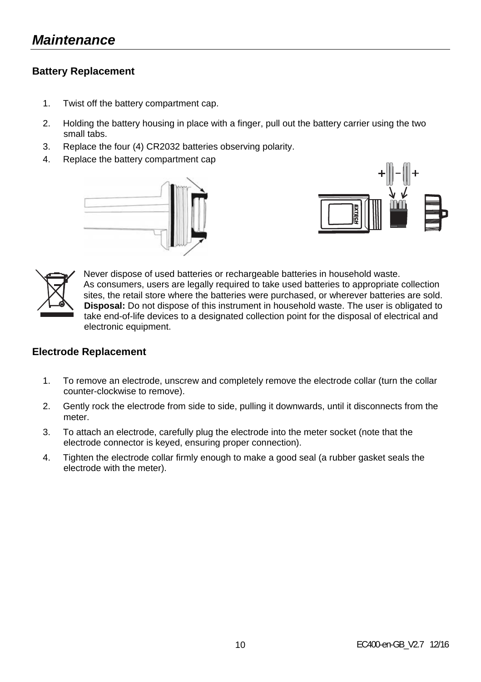# *Maintenance*

#### **Battery Replacement**

- 1. Twist off the battery compartment cap.
- 2. Holding the battery housing in place with a finger, pull out the battery carrier using the two small tabs.
- 3. Replace the four (4) CR2032 batteries observing polarity.
- 4. Replace the battery compartment cap







Never dispose of used batteries or rechargeable batteries in household waste. As consumers, users are legally required to take used batteries to appropriate collection sites, the retail store where the batteries were purchased, or wherever batteries are sold. **Disposal:** Do not dispose of this instrument in household waste. The user is obligated to take end-of-life devices to a designated collection point for the disposal of electrical and electronic equipment.

#### **Electrode Replacement**

- 1. To remove an electrode, unscrew and completely remove the electrode collar (turn the collar counter-clockwise to remove).
- 2. Gently rock the electrode from side to side, pulling it downwards, until it disconnects from the meter.
- 3. To attach an electrode, carefully plug the electrode into the meter socket (note that the electrode connector is keyed, ensuring proper connection).
- 4. Tighten the electrode collar firmly enough to make a good seal (a rubber gasket seals the electrode with the meter).